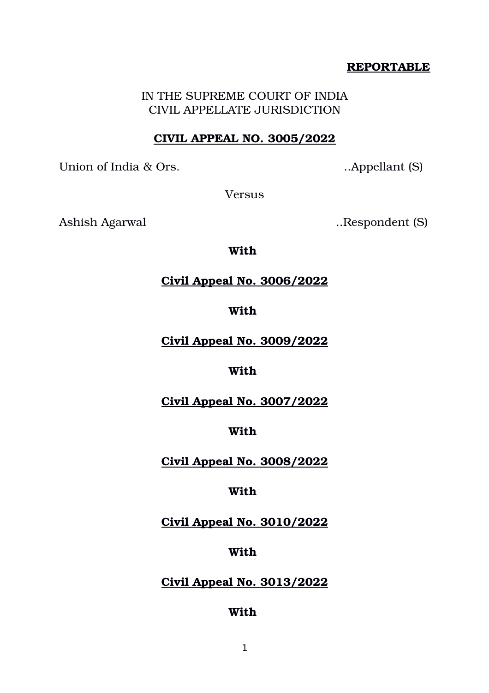## **REPORTABLE**

IN THE SUPREME COURT OF INDIA CIVIL APPELLATE JURISDICTION

## **CIVIL APPEAL NO. 3005/2022**

Union of India & Ors. ..Appellant (S)

Versus

Ashish Agarwal ..Respondent (S)

**With** 

# **Civil Appeal No. 3006/2022**

## **With**

**Civil Appeal No. 3009/2022**

# **With**

**Civil Appeal No. 3007/2022**

# **With**

**Civil Appeal No. 3008/2022**

# **With**

**Civil Appeal No. 3010/2022**

# **With**

# **Civil Appeal No. 3013/2022**

# **With**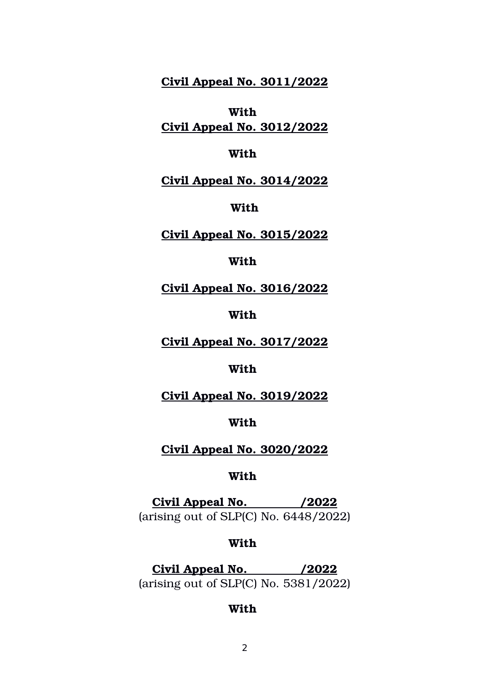**Civil Appeal No. 3011/2022**

**With Civil Appeal No. 3012/2022**

#### **With**

### **Civil Appeal No. 3014/2022**

#### **With**

## **Civil Appeal No. 3015/2022**

## **With**

**Civil Appeal No. 3016/2022**

### **With**

**Civil Appeal No. 3017/2022**

#### **With**

**Civil Appeal No. 3019/2022**

### **With**

## **Civil Appeal No. 3020/2022**

#### **With**

 **Civil Appeal No. /2022** (arising out of SLP(C) No. 6448/2022)

#### **With**

 **Civil Appeal No. /2022** (arising out of SLP(C) No. 5381/2022)

#### **With**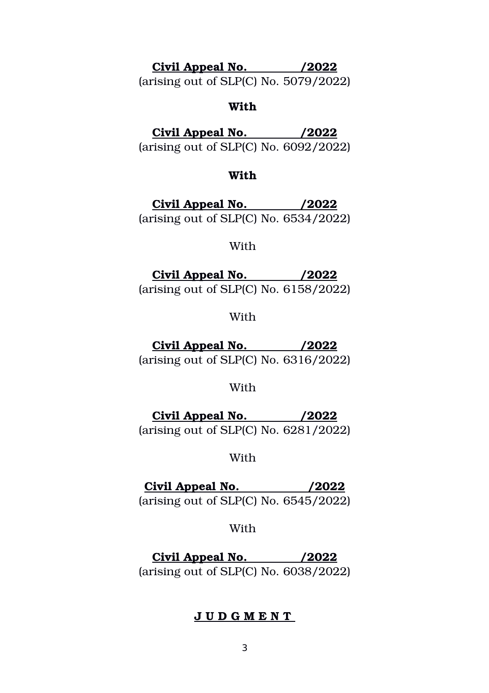# **Civil Appeal No. /2022**

(arising out of SLP(C) No. 5079/2022)

### **With**

 **Civil Appeal No. /2022**

(arising out of SLP(C) No. 6092/2022)

#### **With**

 **Civil Appeal No. /2022** (arising out of SLP(C) No. 6534/2022)

## With

 **Civil Appeal No. /2022** (arising out of SLP(C) No. 6158/2022)

With

 **Civil Appeal No. /2022** (arising out of SLP(C) No. 6316/2022)

#### With

 **Civil Appeal No. /2022** (arising out of SLP(C) No. 6281/2022)

## With

 **Civil Appeal No. /2022** (arising out of SLP(C) No. 6545/2022)

## With

 **Civil Appeal No. /2022** (arising out of SLP(C) No. 6038/2022)

## **J U D G M E N T**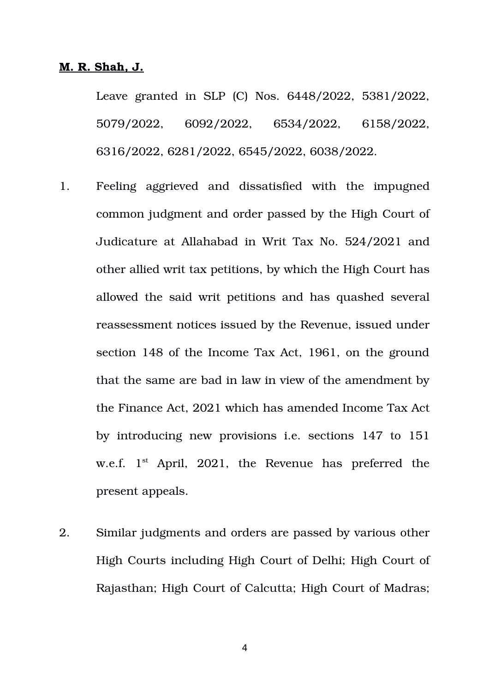#### **M. R. Shah, J.**

Leave granted in SLP (C) Nos. 6448/2022, 5381/2022, 5079/2022, 6092/2022, 6534/2022, 6158/2022, 6316/2022, 6281/2022, 6545/2022, 6038/2022.

- 1. Feeling aggrieved and dissatisfied with the impugned common judgment and order passed by the High Court of Judicature at Allahabad in Writ Tax No. 524/2021 and other allied writ tax petitions, by which the High Court has allowed the said writ petitions and has quashed several reassessment notices issued by the Revenue, issued under section 148 of the Income Tax Act, 1961, on the ground that the same are bad in law in view of the amendment by the Finance Act, 2021 which has amended Income Tax Act by introducing new provisions i.e. sections 147 to 151 w.e.f.  $1<sup>st</sup>$  April, 2021, the Revenue has preferred the present appeals.
- 2. Similar judgments and orders are passed by various other High Courts including High Court of Delhi; High Court of Rajasthan; High Court of Calcutta; High Court of Madras;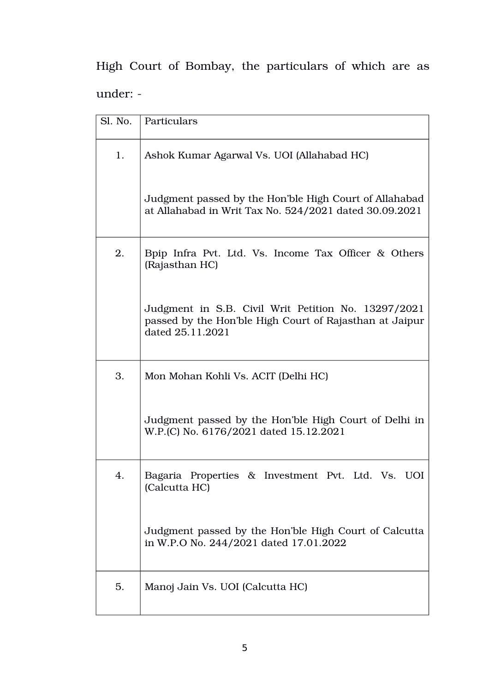High Court of Bombay, the particulars of which are as under:

| Sl. No. | Particulars                                                                                                                        |  |  |  |  |
|---------|------------------------------------------------------------------------------------------------------------------------------------|--|--|--|--|
| 1.      | Ashok Kumar Agarwal Vs. UOI (Allahabad HC)                                                                                         |  |  |  |  |
|         | Judgment passed by the Hon'ble High Court of Allahabad<br>at Allahabad in Writ Tax No. 524/2021 dated 30.09.2021                   |  |  |  |  |
| 2.      | Bpip Infra Pvt. Ltd. Vs. Income Tax Officer & Others<br>(Rajasthan HC)                                                             |  |  |  |  |
|         | Judgment in S.B. Civil Writ Petition No. 13297/2021<br>passed by the Hon'ble High Court of Rajasthan at Jaipur<br>dated 25.11.2021 |  |  |  |  |
| 3.      | Mon Mohan Kohli Vs. ACIT (Delhi HC)                                                                                                |  |  |  |  |
|         | Judgment passed by the Hon'ble High Court of Delhi in<br>W.P.(C) No. 6176/2021 dated 15.12.2021                                    |  |  |  |  |
| 4.      | Bagaria Properties & Investment Pvt. Ltd. Vs. UOI<br>(Calcutta HC)                                                                 |  |  |  |  |
|         | Judgment passed by the Hon'ble High Court of Calcutta<br>in W.P.O No. 244/2021 dated 17.01.2022                                    |  |  |  |  |
| 5.      | Manoj Jain Vs. UOI (Calcutta HC)                                                                                                   |  |  |  |  |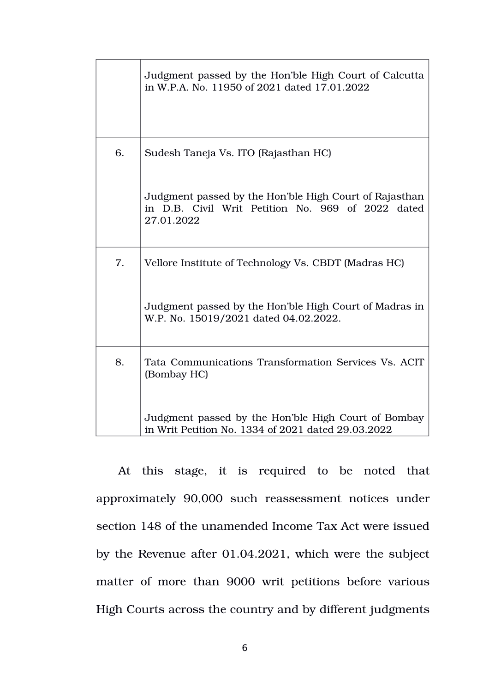|    | Judgment passed by the Hon'ble High Court of Calcutta<br>in W.P.A. No. 11950 of 2021 dated 17.01.2022                     |  |  |  |  |
|----|---------------------------------------------------------------------------------------------------------------------------|--|--|--|--|
| 6. | Sudesh Taneja Vs. ITO (Rajasthan HC)                                                                                      |  |  |  |  |
|    | Judgment passed by the Hon'ble High Court of Rajasthan<br>in D.B. Civil Writ Petition No. 969 of 2022 dated<br>27.01.2022 |  |  |  |  |
| 7. | Vellore Institute of Technology Vs. CBDT (Madras HC)                                                                      |  |  |  |  |
|    | Judgment passed by the Hon'ble High Court of Madras in<br>W.P. No. 15019/2021 dated 04.02.2022.                           |  |  |  |  |
| 8. | Tata Communications Transformation Services Vs. ACIT<br>(Bombay HC)                                                       |  |  |  |  |
|    | Judgment passed by the Hon'ble High Court of Bombay<br>in Writ Petition No. 1334 of 2021 dated 29.03.2022                 |  |  |  |  |

At this stage, it is required to be noted that approximately 90,000 such reassessment notices under section 148 of the unamended Income Tax Act were issued by the Revenue after 01.04.2021, which were the subject matter of more than 9000 writ petitions before various High Courts across the country and by different judgments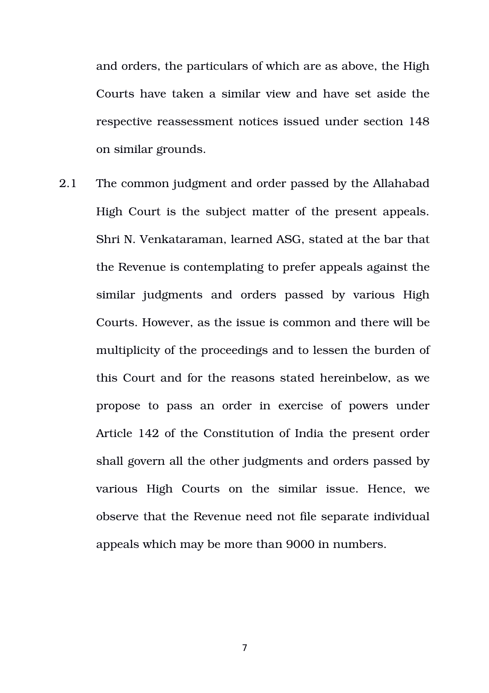and orders, the particulars of which are as above, the High Courts have taken a similar view and have set aside the respective reassessment notices issued under section 148 on similar grounds.

2.1 The common judgment and order passed by the Allahabad High Court is the subject matter of the present appeals. Shri N. Venkataraman, learned ASG, stated at the bar that the Revenue is contemplating to prefer appeals against the similar judgments and orders passed by various High Courts. However, as the issue is common and there will be multiplicity of the proceedings and to lessen the burden of this Court and for the reasons stated hereinbelow, as we propose to pass an order in exercise of powers under Article 142 of the Constitution of India the present order shall govern all the other judgments and orders passed by various High Courts on the similar issue. Hence, we observe that the Revenue need not file separate individual appeals which may be more than 9000 in numbers.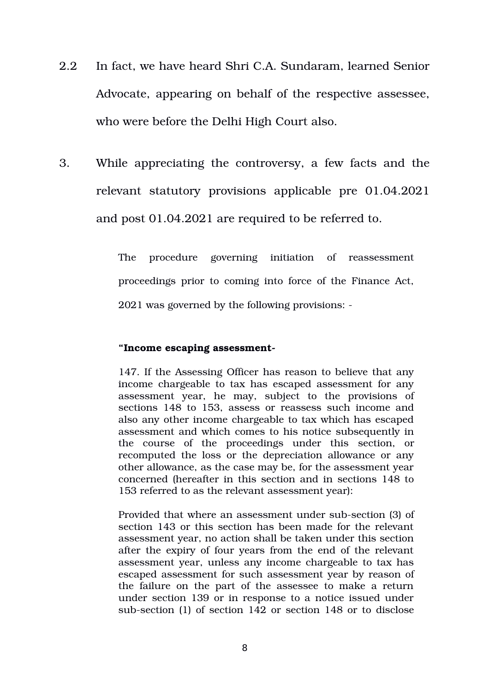- 2.2 In fact, we have heard Shri C.A. Sundaram, learned Senior Advocate, appearing on behalf of the respective assessee, who were before the Delhi High Court also.
- 3. While appreciating the controversy, a few facts and the relevant statutory provisions applicable pre  $01.04.2021$ and post 01.04.2021 are required to be referred to.

The procedure governing initiation of reassessment proceedings prior to coming into force of the Finance Act, 2021 was governed by the following provisions:

#### **"Income escaping assessment**

147. If the Assessing Officer has reason to believe that any income chargeable to tax has escaped assessment for any assessment year, he may, subject to the provisions of sections 148 to 153, assess or reassess such income and also any other income chargeable to tax which has escaped assessment and which comes to his notice subsequently in the course of the proceedings under this section, or recomputed the loss or the depreciation allowance or any other allowance, as the case may be, for the assessment year concerned (hereafter in this section and in sections 148 to 153 referred to as the relevant assessment year):

Provided that where an assessment under sub-section (3) of section 143 or this section has been made for the relevant assessment year, no action shall be taken under this section after the expiry of four years from the end of the relevant assessment year, unless any income chargeable to tax has escaped assessment for such assessment year by reason of the failure on the part of the assessee to make a return under section 139 or in response to a notice issued under sub-section (1) of section 142 or section 148 or to disclose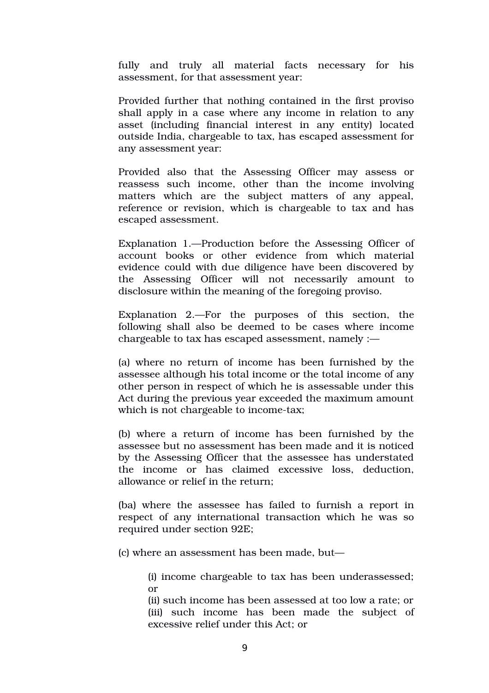fully and truly all material facts necessary for his assessment, for that assessment year:

Provided further that nothing contained in the first proviso shall apply in a case where any income in relation to any asset (including financial interest in any entity) located outside India, chargeable to tax, has escaped assessment for any assessment year:

Provided also that the Assessing Officer may assess or reassess such income, other than the income involving matters which are the subject matters of any appeal, reference or revision, which is chargeable to tax and has escaped assessment.

Explanation 1.—Production before the Assessing Officer of account books or other evidence from which material evidence could with due diligence have been discovered by the Assessing Officer will not necessarily amount to disclosure within the meaning of the foregoing proviso.

Explanation 2.—For the purposes of this section, the following shall also be deemed to be cases where income chargeable to tax has escaped assessment, namely :—

(a) where no return of income has been furnished by the assessee although his total income or the total income of any other person in respect of which he is assessable under this Act during the previous year exceeded the maximum amount which is not chargeable to income-tax;

(b) where a return of income has been furnished by the assessee but no assessment has been made and it is noticed by the Assessing Officer that the assessee has understated the income or has claimed excessive loss, deduction, allowance or relief in the return;

(ba) where the assessee has failed to furnish a report in respect of any international transaction which he was so required under section 92E;

(c) where an assessment has been made, but—

(i) income chargeable to tax has been underassessed; or

(ii) such income has been assessed at too low a rate; or (iii) such income has been made the subject of excessive relief under this Act; or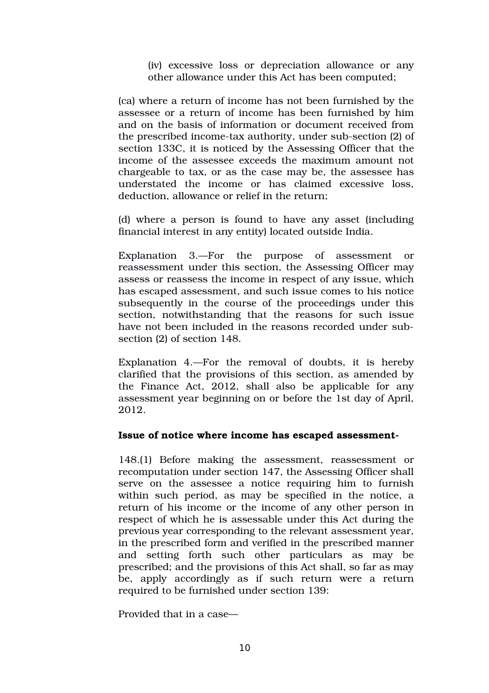(iv) excessive loss or depreciation allowance or any other allowance under this Act has been computed;

(ca) where a return of income has not been furnished by the assessee or a return of income has been furnished by him and on the basis of information or document received from the prescribed income-tax authority, under sub-section (2) of section 133C, it is noticed by the Assessing Officer that the income of the assessee exceeds the maximum amount not chargeable to tax, or as the case may be, the assessee has understated the income or has claimed excessive loss, deduction, allowance or relief in the return;

(d) where a person is found to have any asset (including financial interest in any entity) located outside India.

Explanation 3.—For the purpose of assessment or reassessment under this section, the Assessing Officer may assess or reassess the income in respect of any issue, which has escaped assessment, and such issue comes to his notice subsequently in the course of the proceedings under this section, notwithstanding that the reasons for such issue have not been included in the reasons recorded under subsection (2) of section 148.

Explanation 4.—For the removal of doubts, it is hereby clarified that the provisions of this section, as amended by the Finance Act, 2012, shall also be applicable for any assessment year beginning on or before the 1st day of April, 2012.

#### **Issue of notice where income has escaped assessment-**

148.(1) Before making the assessment, reassessment or recomputation under section 147, the Assessing Officer shall serve on the assessee a notice requiring him to furnish within such period, as may be specified in the notice, a return of his income or the income of any other person in respect of which he is assessable under this Act during the previous year corresponding to the relevant assessment year, in the prescribed form and verified in the prescribed manner and setting forth such other particulars as may be prescribed; and the provisions of this Act shall, so far as may be, apply accordingly as if such return were a return required to be furnished under section 139:

Provided that in a case—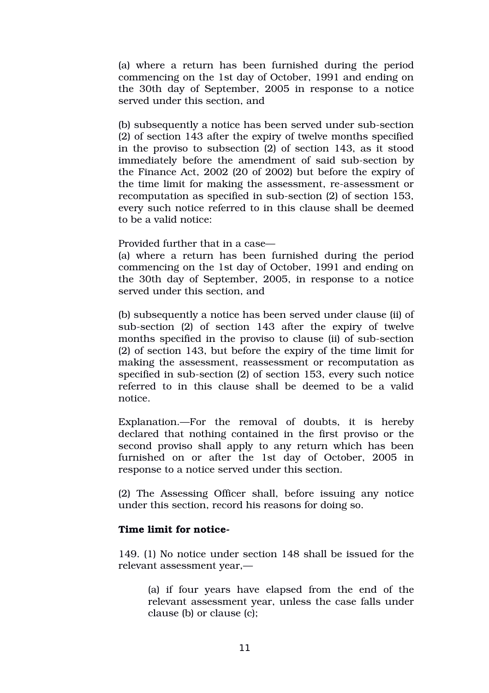(a) where a return has been furnished during the period commencing on the 1st day of October, 1991 and ending on the 30th day of September, 2005 in response to a notice served under this section, and

(b) subsequently a notice has been served under sub-section (2) of section 143 after the expiry of twelve months specified in the proviso to subsection (2) of section 143, as it stood immediately before the amendment of said sub-section by the Finance Act, 2002 (20 of 2002) but before the expiry of the time limit for making the assessment, re-assessment or recomputation as specified in sub-section  $(2)$  of section 153, every such notice referred to in this clause shall be deemed to be a valid notice:

Provided further that in a case—

(a) where a return has been furnished during the period commencing on the 1st day of October, 1991 and ending on the 30th day of September, 2005, in response to a notice served under this section, and

(b) subsequently a notice has been served under clause (ii) of sub-section  $(2)$  of section  $143$  after the expiry of twelve months specified in the proviso to clause (ii) of sub-section (2) of section 143, but before the expiry of the time limit for making the assessment, reassessment or recomputation as specified in sub-section (2) of section 153, every such notice referred to in this clause shall be deemed to be a valid notice.

Explanation.—For the removal of doubts, it is hereby declared that nothing contained in the first proviso or the second proviso shall apply to any return which has been furnished on or after the 1st day of October, 2005 in response to a notice served under this section.

(2) The Assessing Officer shall, before issuing any notice under this section, record his reasons for doing so.

#### **Time limit for notice**

149. (1) No notice under section 148 shall be issued for the relevant assessment year,—

(a) if four years have elapsed from the end of the relevant assessment year, unless the case falls under clause (b) or clause (c);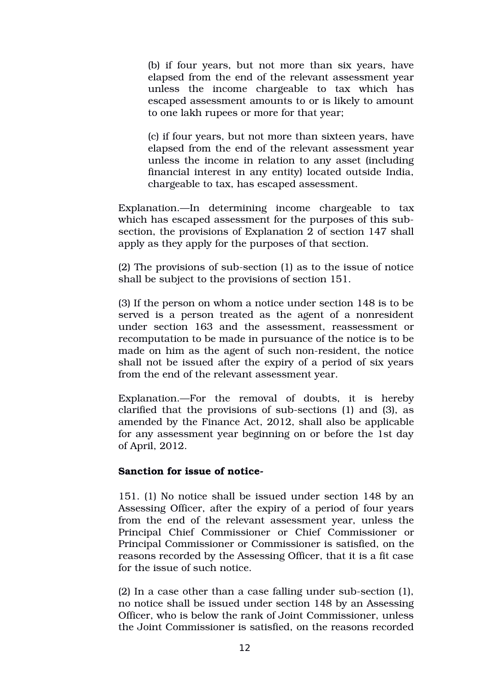(b) if four years, but not more than six years, have elapsed from the end of the relevant assessment year unless the income chargeable to tax which has escaped assessment amounts to or is likely to amount to one lakh rupees or more for that year;

(c) if four years, but not more than sixteen years, have elapsed from the end of the relevant assessment year unless the income in relation to any asset (including financial interest in any entity) located outside India, chargeable to tax, has escaped assessment.

Explanation.—In determining income chargeable to tax which has escaped assessment for the purposes of this subsection, the provisions of Explanation 2 of section 147 shall apply as they apply for the purposes of that section.

 $(2)$  The provisions of sub-section  $(1)$  as to the issue of notice shall be subject to the provisions of section 151.

(3) If the person on whom a notice under section 148 is to be served is a person treated as the agent of a nonresident under section 163 and the assessment, reassessment or recomputation to be made in pursuance of the notice is to be made on him as the agent of such non-resident, the notice shall not be issued after the expiry of a period of six years from the end of the relevant assessment year.

Explanation.—For the removal of doubts, it is hereby clarified that the provisions of sub-sections  $(1)$  and  $(3)$ , as amended by the Finance Act, 2012, shall also be applicable for any assessment year beginning on or before the 1st day of April, 2012.

#### **Sanction for issue of notice**

151. (1) No notice shall be issued under section 148 by an Assessing Officer, after the expiry of a period of four years from the end of the relevant assessment year, unless the Principal Chief Commissioner or Chief Commissioner or Principal Commissioner or Commissioner is satisfied, on the reasons recorded by the Assessing Officer, that it is a fit case for the issue of such notice.

 $(2)$  In a case other than a case falling under sub-section  $(1)$ , no notice shall be issued under section 148 by an Assessing Officer, who is below the rank of Joint Commissioner, unless the Joint Commissioner is satisfied, on the reasons recorded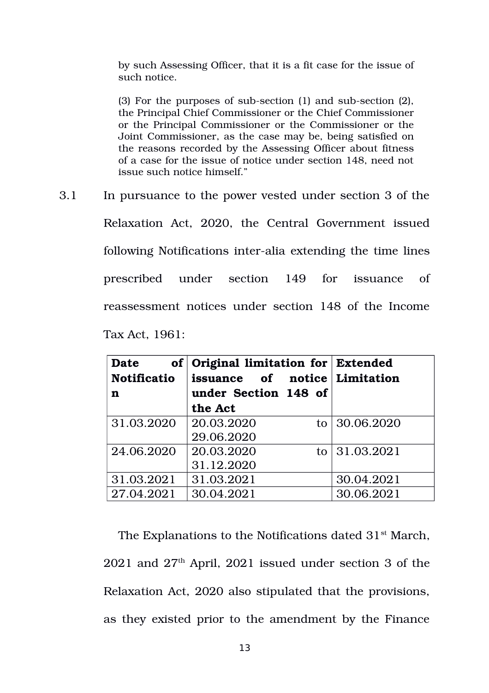by such Assessing Officer, that it is a fit case for the issue of such notice.

 $(3)$  For the purposes of sub-section  $(1)$  and sub-section  $(2)$ , the Principal Chief Commissioner or the Chief Commissioner or the Principal Commissioner or the Commissioner or the Joint Commissioner, as the case may be, being satisfied on the reasons recorded by the Assessing Officer about fitness of a case for the issue of notice under section 148, need not issue such notice himself."

3.1 In pursuance to the power vested under section 3 of the Relaxation Act, 2020, the Central Government issued following Notifications inter-alia extending the time lines prescribed under section 149 for issuance of reassessment notices under section 148 of the Income Tax Act, 1961:

| <b>Date</b>        | of Original limitation for Extended |      |            |
|--------------------|-------------------------------------|------|------------|
| <b>Notificatio</b> | issuance of notice Limitation       |      |            |
| n                  | under Section 148 of                |      |            |
|                    | the Act                             |      |            |
| 31.03.2020         | 20.03.2020                          | to l | 30.06.2020 |
|                    | 29.06.2020                          |      |            |
| 24.06.2020         | 20.03.2020                          | to l | 31.03.2021 |
|                    | 31.12.2020                          |      |            |
| 31.03.2021         | 31.03.2021                          |      | 30.04.2021 |
| 27.04.2021         | 30.04.2021                          |      | 30.06.2021 |

The Explanations to the Notifications dated  $31<sup>st</sup>$  March,  $2021$  and  $27<sup>th</sup>$  April,  $2021$  issued under section 3 of the Relaxation Act, 2020 also stipulated that the provisions, as they existed prior to the amendment by the Finance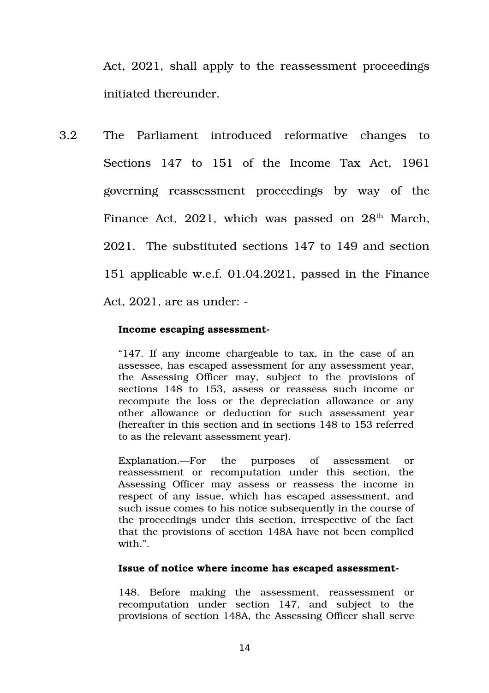Act, 2021, shall apply to the reassessment proceedings initiated thereunder.

3.2 The Parliament introduced reformative changes to Sections 147 to 151 of the Income Tax Act, 1961 governing reassessment proceedings by way of the Finance Act, 2021, which was passed on  $28<sup>th</sup>$  March, 2021. The substituted sections 147 to 149 and section 151 applicable w.e.f. 01.04.2021, passed in the Finance Act, 2021, are as under:

#### **Income escaping assessment**

"147. If any income chargeable to tax, in the case of an assessee, has escaped assessment for any assessment year, the Assessing Officer may, subject to the provisions of sections 148 to 153, assess or reassess such income or recompute the loss or the depreciation allowance or any other allowance or deduction for such assessment year (hereafter in this section and in sections 148 to 153 referred to as the relevant assessment year).

Explanation.—For the purposes of assessment or reassessment or recomputation under this section, the Assessing Officer may assess or reassess the income in respect of any issue, which has escaped assessment, and such issue comes to his notice subsequently in the course of the proceedings under this section, irrespective of the fact that the provisions of section 148A have not been complied with.".

#### **Issue of notice where income has escaped assessment-**

148. Before making the assessment, reassessment or recomputation under section 147, and subject to the provisions of section 148A, the Assessing Officer shall serve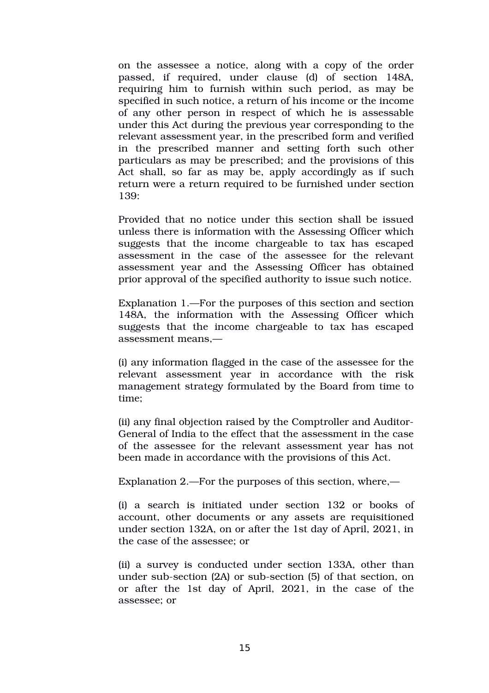on the assessee a notice, along with a copy of the order passed, if required, under clause (d) of section 148A, requiring him to furnish within such period, as may be specified in such notice, a return of his income or the income of any other person in respect of which he is assessable under this Act during the previous year corresponding to the relevant assessment year, in the prescribed form and verified in the prescribed manner and setting forth such other particulars as may be prescribed; and the provisions of this Act shall, so far as may be, apply accordingly as if such return were a return required to be furnished under section 139:

Provided that no notice under this section shall be issued unless there is information with the Assessing Officer which suggests that the income chargeable to tax has escaped assessment in the case of the assessee for the relevant assessment year and the Assessing Officer has obtained prior approval of the specified authority to issue such notice.

Explanation 1.—For the purposes of this section and section 148A, the information with the Assessing Officer which suggests that the income chargeable to tax has escaped assessment means,—

(i) any information flagged in the case of the assessee for the relevant assessment year in accordance with the risk management strategy formulated by the Board from time to time;

(ii) any final objection raised by the Comptroller and Auditor-General of India to the effect that the assessment in the case of the assessee for the relevant assessment year has not been made in accordance with the provisions of this Act.

Explanation 2.—For the purposes of this section, where,—

(i) a search is initiated under section 132 or books of account, other documents or any assets are requisitioned under section 132A, on or after the 1st day of April, 2021, in the case of the assessee; or

(ii) a survey is conducted under section 133A, other than under sub-section (2A) or sub-section (5) of that section, on or after the 1st day of April, 2021, in the case of the assessee; or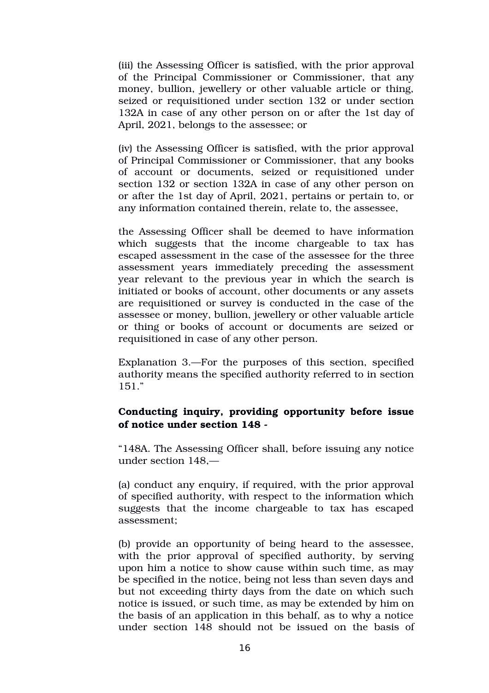(iii) the Assessing Officer is satisfied, with the prior approval of the Principal Commissioner or Commissioner, that any money, bullion, jewellery or other valuable article or thing, seized or requisitioned under section 132 or under section 132A in case of any other person on or after the 1st day of April, 2021, belongs to the assessee; or

(iv) the Assessing Officer is satisfied, with the prior approval of Principal Commissioner or Commissioner, that any books of account or documents, seized or requisitioned under section 132 or section 132A in case of any other person on or after the 1st day of April, 2021, pertains or pertain to, or any information contained therein, relate to, the assessee,

the Assessing Officer shall be deemed to have information which suggests that the income chargeable to tax has escaped assessment in the case of the assessee for the three assessment years immediately preceding the assessment year relevant to the previous year in which the search is initiated or books of account, other documents or any assets are requisitioned or survey is conducted in the case of the assessee or money, bullion, jewellery or other valuable article or thing or books of account or documents are seized or requisitioned in case of any other person.

Explanation 3.—For the purposes of this section, specified authority means the specified authority referred to in section 151."

### **Conducting inquiry, providing opportunity before issue of notice under section 148**

"148A. The Assessing Officer shall, before issuing any notice under section 148,—

(a) conduct any enquiry, if required, with the prior approval of specified authority, with respect to the information which suggests that the income chargeable to tax has escaped assessment;

(b) provide an opportunity of being heard to the assessee, with the prior approval of specified authority, by serving upon him a notice to show cause within such time, as may be specified in the notice, being not less than seven days and but not exceeding thirty days from the date on which such notice is issued, or such time, as may be extended by him on the basis of an application in this behalf, as to why a notice under section 148 should not be issued on the basis of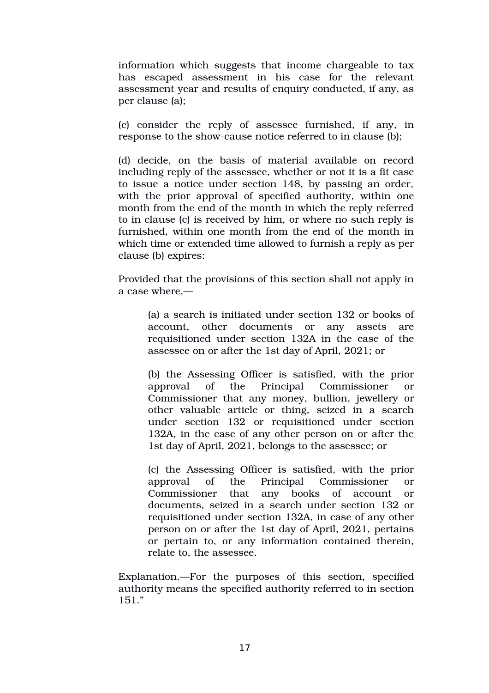information which suggests that income chargeable to tax has escaped assessment in his case for the relevant assessment year and results of enquiry conducted, if any, as per clause (a);

(c) consider the reply of assessee furnished, if any, in response to the show-cause notice referred to in clause (b);

(d) decide, on the basis of material available on record including reply of the assessee, whether or not it is a fit case to issue a notice under section 148, by passing an order, with the prior approval of specified authority, within one month from the end of the month in which the reply referred to in clause (c) is received by him, or where no such reply is furnished, within one month from the end of the month in which time or extended time allowed to furnish a reply as per clause (b) expires:

Provided that the provisions of this section shall not apply in a case where,—

> (a) a search is initiated under section 132 or books of account, other documents or any assets are requisitioned under section 132A in the case of the assessee on or after the 1st day of April, 2021; or

> (b) the Assessing Officer is satisfied, with the prior approval of the Principal Commissioner or Commissioner that any money, bullion, jewellery or other valuable article or thing, seized in a search under section 132 or requisitioned under section 132A, in the case of any other person on or after the 1st day of April, 2021, belongs to the assessee; or

> (c) the Assessing Officer is satisfied, with the prior approval of the Principal Commissioner or Commissioner that any books of account or documents, seized in a search under section 132 or requisitioned under section 132A, in case of any other person on or after the 1st day of April, 2021, pertains or pertain to, or any information contained therein, relate to, the assessee.

Explanation.—For the purposes of this section, specified authority means the specified authority referred to in section 151."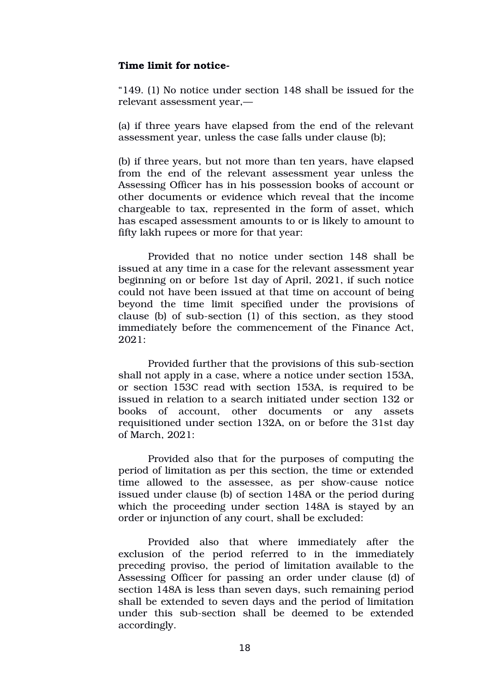#### **Time limit for notice**

"149. (1) No notice under section 148 shall be issued for the relevant assessment year,—

(a) if three years have elapsed from the end of the relevant assessment year, unless the case falls under clause (b);

(b) if three years, but not more than ten years, have elapsed from the end of the relevant assessment year unless the Assessing Officer has in his possession books of account or other documents or evidence which reveal that the income chargeable to tax, represented in the form of asset, which has escaped assessment amounts to or is likely to amount to fifty lakh rupees or more for that year:

Provided that no notice under section 148 shall be issued at any time in a case for the relevant assessment year beginning on or before 1st day of April, 2021, if such notice could not have been issued at that time on account of being beyond the time limit specified under the provisions of clause (b) of sub-section  $(1)$  of this section, as they stood immediately before the commencement of the Finance Act, 2021:

Provided further that the provisions of this sub-section shall not apply in a case, where a notice under section 153A, or section 153C read with section 153A, is required to be issued in relation to a search initiated under section 132 or books of account, other documents or any assets requisitioned under section 132A, on or before the 31st day of March, 2021:

Provided also that for the purposes of computing the period of limitation as per this section, the time or extended time allowed to the assessee, as per show-cause notice issued under clause (b) of section 148A or the period during which the proceeding under section 148A is stayed by an order or injunction of any court, shall be excluded:

Provided also that where immediately after the exclusion of the period referred to in the immediately preceding proviso, the period of limitation available to the Assessing Officer for passing an order under clause (d) of section 148A is less than seven days, such remaining period shall be extended to seven days and the period of limitation under this sub-section shall be deemed to be extended accordingly.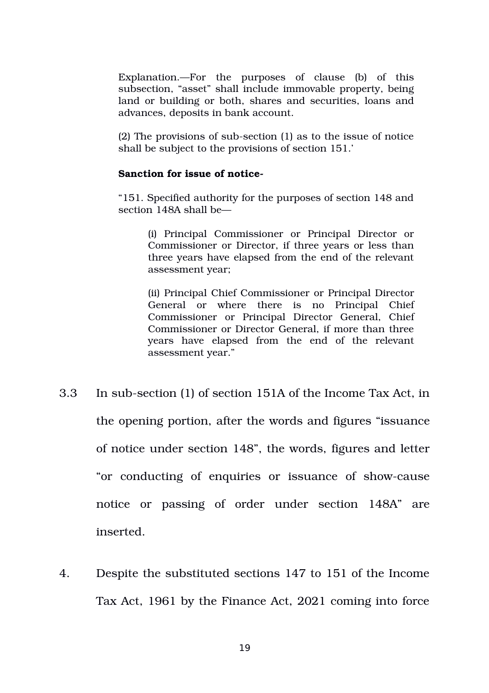Explanation.—For the purposes of clause (b) of this subsection, "asset" shall include immovable property, being land or building or both, shares and securities, loans and advances, deposits in bank account.

 $(2)$  The provisions of sub-section  $(1)$  as to the issue of notice shall be subject to the provisions of section 151.'

#### **Sanction for issue of notice**

"151. Specified authority for the purposes of section 148 and section 148A shall be—

> (i) Principal Commissioner or Principal Director or Commissioner or Director, if three years or less than three years have elapsed from the end of the relevant assessment year;

> (ii) Principal Chief Commissioner or Principal Director General or where there is no Principal Chief Commissioner or Principal Director General, Chief Commissioner or Director General, if more than three years have elapsed from the end of the relevant assessment year."

- 3.3 In sub-section (1) of section 151A of the Income Tax Act, in the opening portion, after the words and figures "issuance of notice under section 148", the words, figures and letter "or conducting of enquiries or issuance of show-cause notice or passing of order under section 148A" are inserted.
- 4. Despite the substituted sections 147 to 151 of the Income Tax Act, 1961 by the Finance Act, 2021 coming into force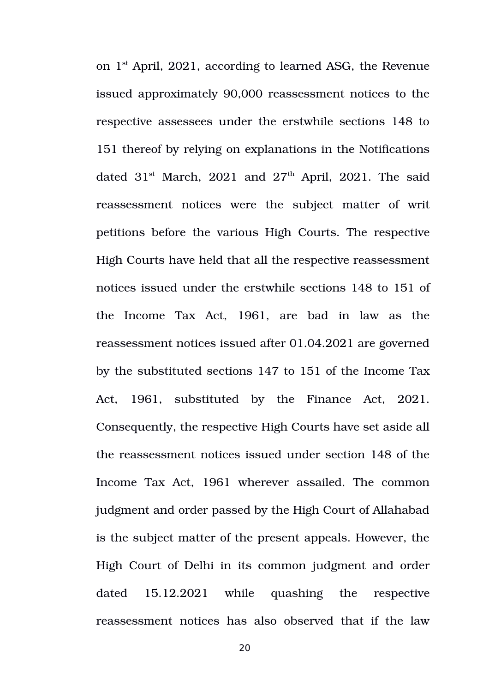on 1st April, 2021, according to learned ASG, the Revenue issued approximately 90,000 reassessment notices to the respective assessees under the erstwhile sections 148 to 151 thereof by relying on explanations in the Notifications dated  $31<sup>st</sup>$  March, 2021 and  $27<sup>th</sup>$  April, 2021. The said reassessment notices were the subject matter of writ petitions before the various High Courts. The respective High Courts have held that all the respective reassessment notices issued under the erstwhile sections 148 to 151 of the Income Tax Act, 1961, are bad in law as the reassessment notices issued after 01.04.2021 are governed by the substituted sections 147 to 151 of the Income Tax Act, 1961, substituted by the Finance Act, 2021. Consequently, the respective High Courts have set aside all the reassessment notices issued under section 148 of the Income Tax Act, 1961 wherever assailed. The common judgment and order passed by the High Court of Allahabad is the subject matter of the present appeals. However, the High Court of Delhi in its common judgment and order dated 15.12.2021 while quashing the respective reassessment notices has also observed that if the law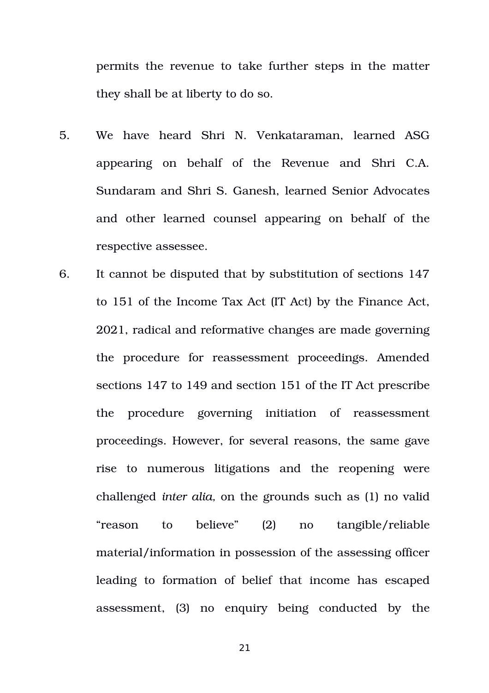permits the revenue to take further steps in the matter they shall be at liberty to do so.

- 5. We have heard Shri N. Venkataraman, learned ASG appearing on behalf of the Revenue and Shri C.A. Sundaram and Shri S. Ganesh, learned Senior Advocates and other learned counsel appearing on behalf of the respective assessee.
- 6. It cannot be disputed that by substitution of sections 147 to 151 of the Income Tax Act (IT Act) by the Finance Act, 2021, radical and reformative changes are made governing the procedure for reassessment proceedings. Amended sections 147 to 149 and section 151 of the IT Act prescribe the procedure governing initiation of reassessment proceedings. However, for several reasons, the same gave rise to numerous litigations and the reopening were challenged *inter alia,* on the grounds such as (1) no valid "reason to believe" (2) no tangible/reliable material/information in possession of the assessing officer leading to formation of belief that income has escaped assessment, (3) no enquiry being conducted by the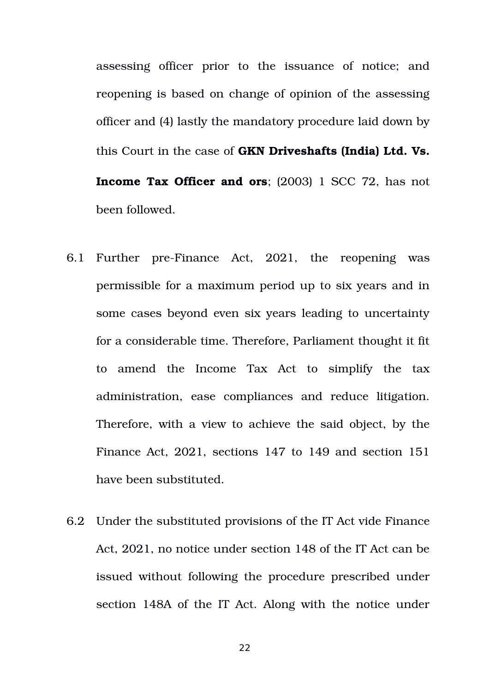assessing officer prior to the issuance of notice; and reopening is based on change of opinion of the assessing officer and (4) lastly the mandatory procedure laid down by this Court in the case of **GKN Driveshafts (India) Ltd. Vs. Income Tax Officer and ors**; (2003) 1 SCC 72, has not been followed.

- 6.1 Further pre-Finance Act, 2021, the reopening was permissible for a maximum period up to six years and in some cases beyond even six years leading to uncertainty for a considerable time. Therefore, Parliament thought it fit to amend the Income Tax Act to simplify the tax administration, ease compliances and reduce litigation. Therefore, with a view to achieve the said object, by the Finance Act, 2021, sections 147 to 149 and section 151 have been substituted.
- 6.2 Under the substituted provisions of the IT Act vide Finance Act, 2021, no notice under section 148 of the IT Act can be issued without following the procedure prescribed under section 148A of the IT Act. Along with the notice under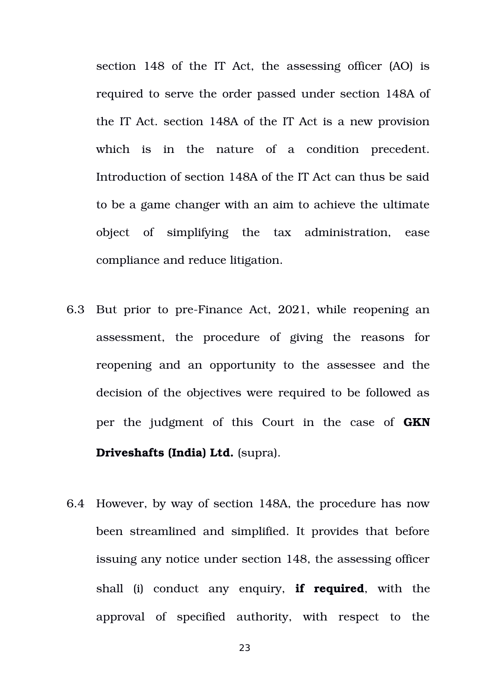section 148 of the IT Act, the assessing officer (AO) is required to serve the order passed under section 148A of the IT Act. section 148A of the IT Act is a new provision which is in the nature of a condition precedent. Introduction of section 148A of the IT Act can thus be said to be a game changer with an aim to achieve the ultimate object of simplifying the tax administration, ease compliance and reduce litigation.

- 6.3 But prior to pre-Finance Act, 2021, while reopening an assessment, the procedure of giving the reasons for reopening and an opportunity to the assessee and the decision of the objectives were required to be followed as per the judgment of this Court in the case of **GKN Driveshafts (India) Ltd.** (supra).
- 6.4 However, by way of section 148A, the procedure has now been streamlined and simplified. It provides that before issuing any notice under section 148, the assessing officer shall (i) conduct any enquiry, **if required**, with the approval of specified authority, with respect to the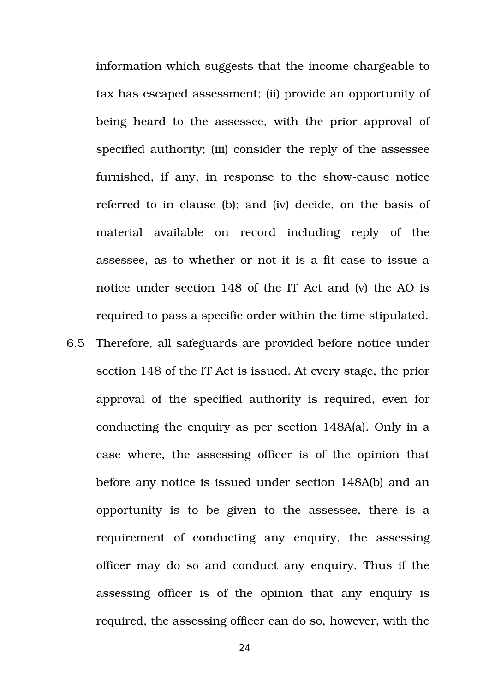information which suggests that the income chargeable to tax has escaped assessment; (ii) provide an opportunity of being heard to the assessee, with the prior approval of specified authority; (iii) consider the reply of the assessee furnished, if any, in response to the show-cause notice referred to in clause (b); and (iv) decide, on the basis of material available on record including reply of the assessee, as to whether or not it is a fit case to issue a notice under section 148 of the IT Act and (v) the AO is required to pass a specific order within the time stipulated.

6.5 Therefore, all safeguards are provided before notice under section 148 of the IT Act is issued. At every stage, the prior approval of the specified authority is required, even for conducting the enquiry as per section 148A(a). Only in a case where, the assessing officer is of the opinion that before any notice is issued under section 148A(b) and an opportunity is to be given to the assessee, there is a requirement of conducting any enquiry, the assessing officer may do so and conduct any enquiry. Thus if the assessing officer is of the opinion that any enquiry is required, the assessing officer can do so, however, with the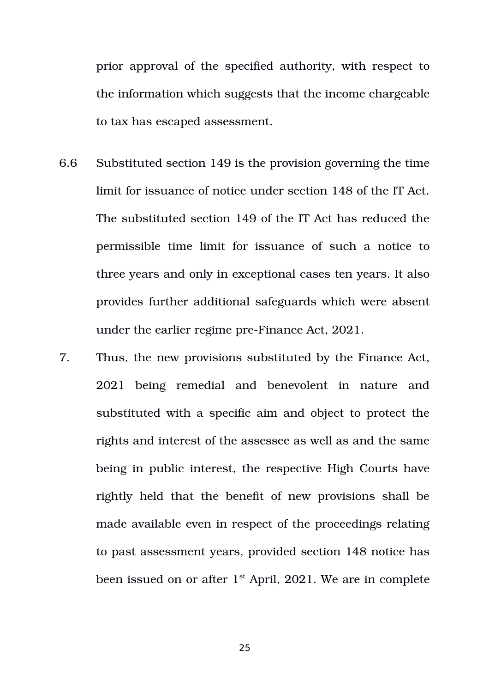prior approval of the specified authority, with respect to the information which suggests that the income chargeable to tax has escaped assessment.

- 6.6 Substituted section 149 is the provision governing the time limit for issuance of notice under section 148 of the IT Act. The substituted section 149 of the IT Act has reduced the permissible time limit for issuance of such a notice to three years and only in exceptional cases ten years. It also provides further additional safeguards which were absent under the earlier regime pre-Finance Act, 2021.
- 7. Thus, the new provisions substituted by the Finance Act, 2021 being remedial and benevolent in nature and substituted with a specific aim and object to protect the rights and interest of the assessee as well as and the same being in public interest, the respective High Courts have rightly held that the benefit of new provisions shall be made available even in respect of the proceedings relating to past assessment years, provided section 148 notice has been issued on or after  $1<sup>st</sup>$  April, 2021. We are in complete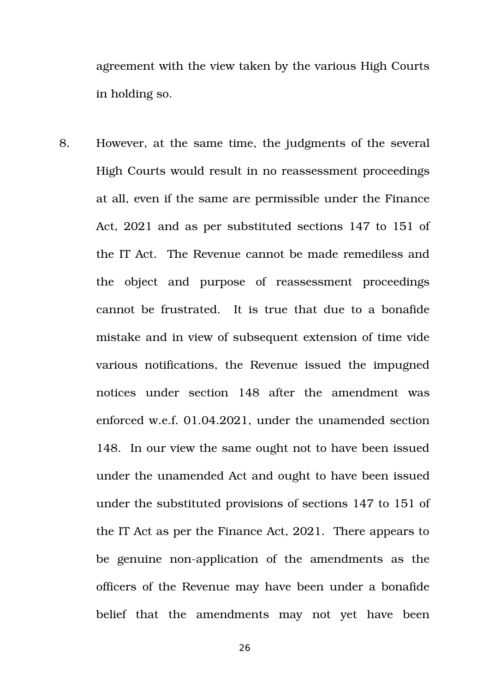agreement with the view taken by the various High Courts in holding so.

8. However, at the same time, the judgments of the several High Courts would result in no reassessment proceedings at all, even if the same are permissible under the Finance Act, 2021 and as per substituted sections 147 to 151 of the IT Act. The Revenue cannot be made remediless and the object and purpose of reassessment proceedings cannot be frustrated. It is true that due to a bonafide mistake and in view of subsequent extension of time vide various notifications, the Revenue issued the impugned notices under section 148 after the amendment was enforced w.e.f. 01.04.2021, under the unamended section 148. In our view the same ought not to have been issued under the unamended Act and ought to have been issued under the substituted provisions of sections 147 to 151 of the IT Act as per the Finance Act, 2021. There appears to be genuine non-application of the amendments as the officers of the Revenue may have been under a bonafide belief that the amendments may not yet have been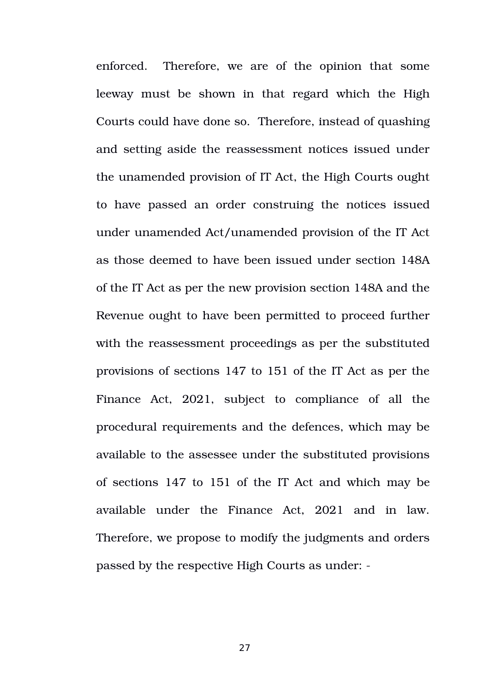enforced. Therefore, we are of the opinion that some leeway must be shown in that regard which the High Courts could have done so. Therefore, instead of quashing and setting aside the reassessment notices issued under the unamended provision of IT Act, the High Courts ought to have passed an order construing the notices issued under unamended Act/unamended provision of the IT Act as those deemed to have been issued under section 148A of the IT Act as per the new provision section 148A and the Revenue ought to have been permitted to proceed further with the reassessment proceedings as per the substituted provisions of sections 147 to 151 of the IT Act as per the Finance Act, 2021, subject to compliance of all the procedural requirements and the defences, which may be available to the assessee under the substituted provisions of sections 147 to 151 of the IT Act and which may be available under the Finance Act, 2021 and in law. Therefore, we propose to modify the judgments and orders passed by the respective High Courts as under: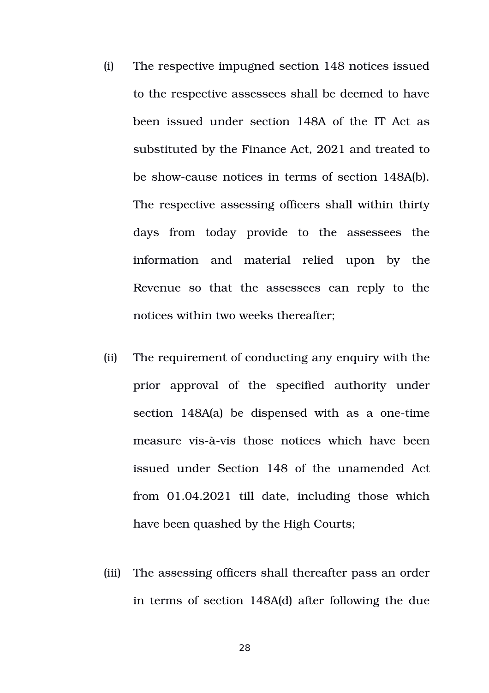- (i) The respective impugned section 148 notices issued to the respective assessees shall be deemed to have been issued under section 148A of the IT Act as substituted by the Finance Act, 2021 and treated to be showcause notices in terms of section 148A(b). The respective assessing officers shall within thirty days from today provide to the assessees the information and material relied upon by the Revenue so that the assessees can reply to the notices within two weeks thereafter;
- (ii) The requirement of conducting any enquiry with the prior approval of the specified authority under section  $148A(a)$  be dispensed with as a one-time measure vis-à-vis those notices which have been issued under Section 148 of the unamended Act from  $01.04.2021$  till date, including those which have been quashed by the High Courts;
- (iii) The assessing officers shall thereafter pass an order in terms of section 148A(d) after following the due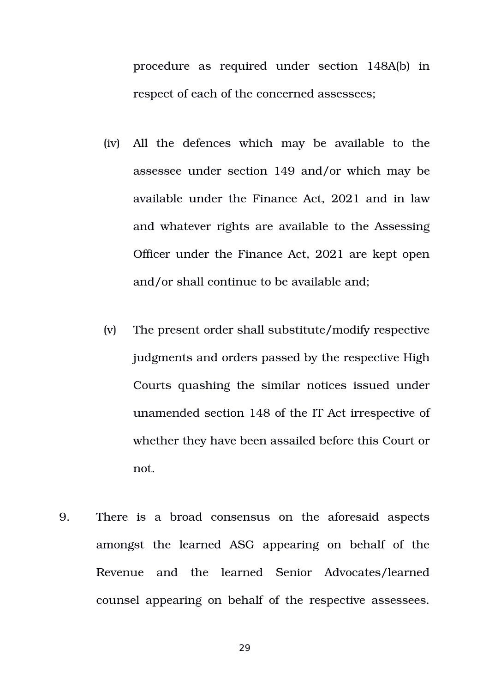procedure as required under section 148A(b) in respect of each of the concerned assessees;

- (iv) All the defences which may be available to the assessee under section 149 and/or which may be available under the Finance Act, 2021 and in law and whatever rights are available to the Assessing Officer under the Finance Act, 2021 are kept open and/or shall continue to be available and;
- (v) The present order shall substitute/modify respective judgments and orders passed by the respective High Courts quashing the similar notices issued under unamended section 148 of the IT Act irrespective of whether they have been assailed before this Court or not.
- 9. There is a broad consensus on the aforesaid aspects amongst the learned ASG appearing on behalf of the Revenue and the learned Senior Advocates/learned counsel appearing on behalf of the respective assessees.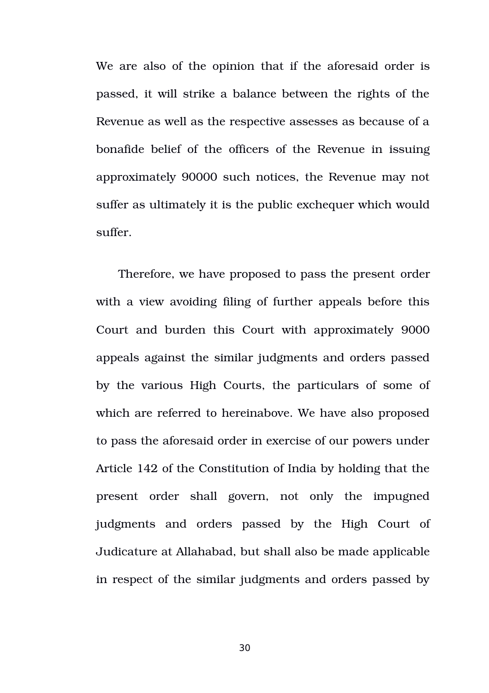We are also of the opinion that if the aforesaid order is passed, it will strike a balance between the rights of the Revenue as well as the respective assesses as because of a bonafide belief of the officers of the Revenue in issuing approximately 90000 such notices, the Revenue may not suffer as ultimately it is the public exchequer which would suffer.

Therefore, we have proposed to pass the present order with a view avoiding filing of further appeals before this Court and burden this Court with approximately 9000 appeals against the similar judgments and orders passed by the various High Courts, the particulars of some of which are referred to hereinabove. We have also proposed to pass the aforesaid order in exercise of our powers under Article 142 of the Constitution of India by holding that the present order shall govern, not only the impugned judgments and orders passed by the High Court of Judicature at Allahabad, but shall also be made applicable in respect of the similar judgments and orders passed by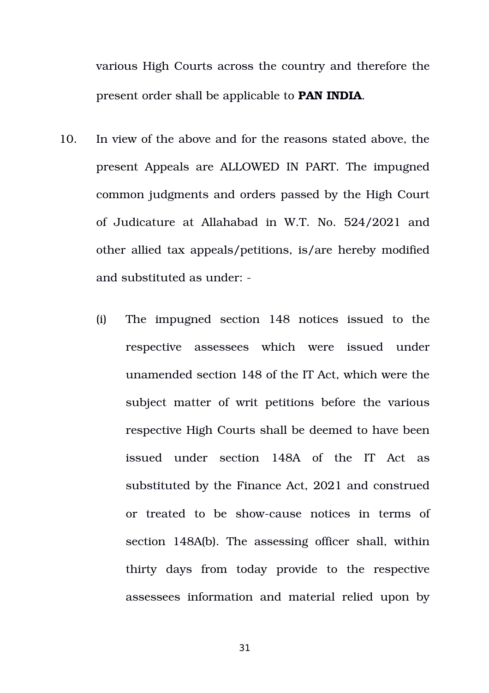various High Courts across the country and therefore the present order shall be applicable to **PAN INDIA**.

- 10. In view of the above and for the reasons stated above, the present Appeals are ALLOWED IN PART. The impugned common judgments and orders passed by the High Court of Judicature at Allahabad in W.T. No. 524/2021 and other allied tax appeals/petitions, is/are hereby modified and substituted as under:
	- (i) The impugned section 148 notices issued to the respective assessees which were issued under unamended section 148 of the IT Act, which were the subject matter of writ petitions before the various respective High Courts shall be deemed to have been issued under section 148A of the IT Act as substituted by the Finance Act, 2021 and construed or treated to be show-cause notices in terms of section 148A(b). The assessing officer shall, within thirty days from today provide to the respective assessees information and material relied upon by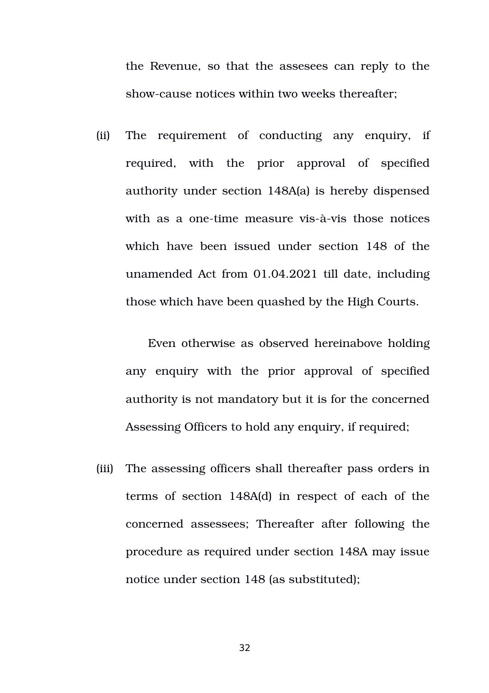the Revenue, so that the assesees can reply to the show-cause notices within two weeks thereafter:

(ii) The requirement of conducting any enquiry, if required, with the prior approval of specified authority under section 148A(a) is hereby dispensed with as a one-time measure vis-à-vis those notices which have been issued under section 148 of the unamended Act from 01.04.2021 till date, including those which have been quashed by the High Courts.

Even otherwise as observed hereinabove holding any enquiry with the prior approval of specified authority is not mandatory but it is for the concerned Assessing Officers to hold any enquiry, if required;

(iii) The assessing officers shall thereafter pass orders in terms of section 148A(d) in respect of each of the concerned assessees; Thereafter after following the procedure as required under section 148A may issue notice under section 148 (as substituted);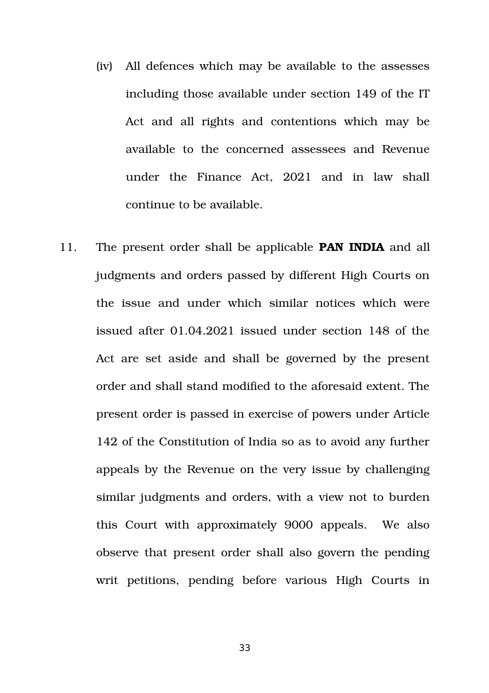- (iv) All defences which may be available to the assesses including those available under section 149 of the IT Act and all rights and contentions which may be available to the concerned assessees and Revenue under the Finance Act, 2021 and in law shall continue to be available.
- 11. The present order shall be applicable **PAN INDIA** and all judgments and orders passed by different High Courts on the issue and under which similar notices which were issued after 01.04.2021 issued under section 148 of the Act are set aside and shall be governed by the present order and shall stand modified to the aforesaid extent. The present order is passed in exercise of powers under Article 142 of the Constitution of India so as to avoid any further appeals by the Revenue on the very issue by challenging similar judgments and orders, with a view not to burden this Court with approximately 9000 appeals. We also observe that present order shall also govern the pending writ petitions, pending before various High Courts in